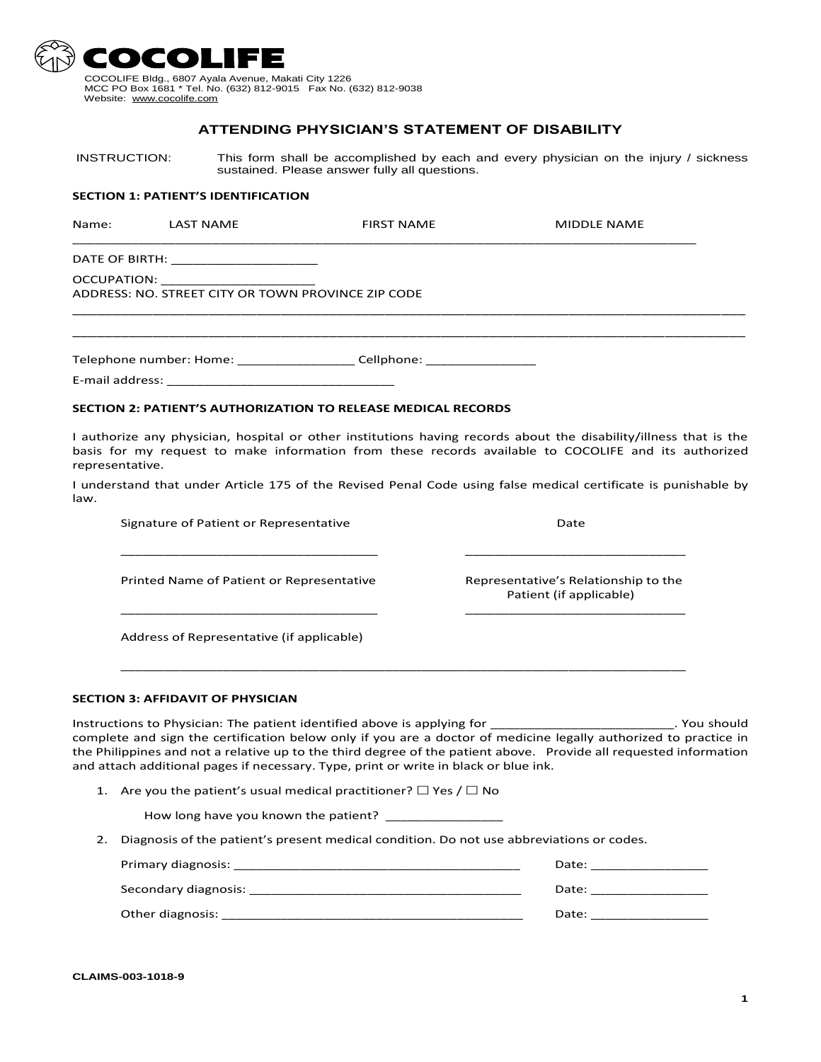

 COCOLIFE Bldg., 6807 Ayala Avenue, Makati City 1226 MCC PO Box 1681 \* Tel. No. (632) 812-9015 Fax No. (632) 812-9038 Website: www.cocolife.com

# **ATTENDING PHYSICIAN'S STATEMENT OF DISABILITY**

INSTRUCTION: This form shall be accomplished by each and every physician on the injury / sickness sustained. Please answer fully all questions.

|       | <b>SECTION 1: PATIENT'S IDENTIFICATION</b>                                                                                                                                                                                                                                                 |                   |                                                                                                                                                                                                                                                                                                                                                         |
|-------|--------------------------------------------------------------------------------------------------------------------------------------------------------------------------------------------------------------------------------------------------------------------------------------------|-------------------|---------------------------------------------------------------------------------------------------------------------------------------------------------------------------------------------------------------------------------------------------------------------------------------------------------------------------------------------------------|
| Name: | LAST NAME                                                                                                                                                                                                                                                                                  | <b>FIRST NAME</b> | <b>MIDDLE NAME</b>                                                                                                                                                                                                                                                                                                                                      |
|       | DATE OF BIRTH: _______________________                                                                                                                                                                                                                                                     |                   |                                                                                                                                                                                                                                                                                                                                                         |
|       | OCCUPATION: <b>contract of the contract of the contract of the contract of the contract of the contract of the contract of the contract of the contract of the contract of the contract of the contract of the contract of the c</b><br>ADDRESS: NO. STREET CITY OR TOWN PROVINCE ZIP CODE |                   |                                                                                                                                                                                                                                                                                                                                                         |
|       | Telephone number: Home: ____________________Cellphone: _________________________                                                                                                                                                                                                           |                   |                                                                                                                                                                                                                                                                                                                                                         |
|       |                                                                                                                                                                                                                                                                                            |                   |                                                                                                                                                                                                                                                                                                                                                         |
|       | <b>SECTION 2: PATIENT'S AUTHORIZATION TO RELEASE MEDICAL RECORDS</b>                                                                                                                                                                                                                       |                   |                                                                                                                                                                                                                                                                                                                                                         |
|       | representative.                                                                                                                                                                                                                                                                            |                   | I authorize any physician, hospital or other institutions having records about the disability/illness that is the<br>basis for my request to make information from these records available to COCOLIFE and its authorized                                                                                                                               |
| law.  |                                                                                                                                                                                                                                                                                            |                   | I understand that under Article 175 of the Revised Penal Code using false medical certificate is punishable by                                                                                                                                                                                                                                          |
|       | Signature of Patient or Representative                                                                                                                                                                                                                                                     |                   | Date                                                                                                                                                                                                                                                                                                                                                    |
|       | Printed Name of Patient or Representative                                                                                                                                                                                                                                                  |                   | Representative's Relationship to the<br>Patient (if applicable)                                                                                                                                                                                                                                                                                         |
|       | Address of Representative (if applicable)                                                                                                                                                                                                                                                  |                   |                                                                                                                                                                                                                                                                                                                                                         |
|       | <b>SECTION 3: AFFIDAVIT OF PHYSICIAN</b>                                                                                                                                                                                                                                                   |                   |                                                                                                                                                                                                                                                                                                                                                         |
|       | and attach additional pages if necessary. Type, print or write in black or blue ink.                                                                                                                                                                                                       |                   | Instructions to Physician: The patient identified above is applying for __________________________. You should<br>complete and sign the certification below only if you are a doctor of medicine legally authorized to practice in<br>the Philippines and not a relative up to the third degree of the patient above. Provide all requested information |
|       | 1. Are you the patient's usual medical practitioner? $\Box$ Yes / $\Box$ No                                                                                                                                                                                                                |                   |                                                                                                                                                                                                                                                                                                                                                         |
|       | How long have you known the patient?                                                                                                                                                                                                                                                       |                   |                                                                                                                                                                                                                                                                                                                                                         |
| 2.    |                                                                                                                                                                                                                                                                                            |                   | Diagnosis of the patient's present medical condition. Do not use abbreviations or codes.                                                                                                                                                                                                                                                                |
|       |                                                                                                                                                                                                                                                                                            |                   | Date: ____________________                                                                                                                                                                                                                                                                                                                              |
|       |                                                                                                                                                                                                                                                                                            |                   |                                                                                                                                                                                                                                                                                                                                                         |

Other diagnosis: \_\_\_\_\_\_\_\_\_\_\_\_\_\_\_\_\_\_\_\_\_\_\_\_\_\_\_\_\_\_\_\_\_\_\_\_\_\_\_\_\_ Date: \_\_\_\_\_\_\_\_\_\_\_\_\_\_\_\_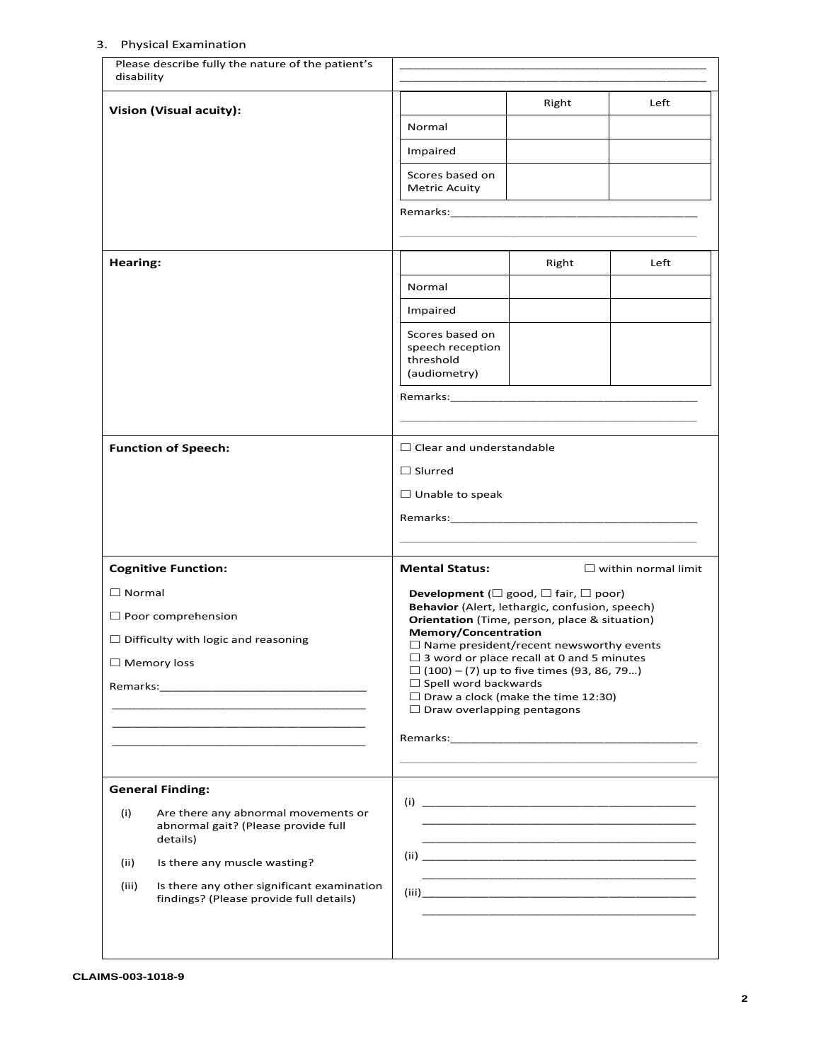## 3. Physical Examination

| disability                                 | Please describe fully the nature of the patient's                                      |                                                                                                                                                                                                                                |       |                            |
|--------------------------------------------|----------------------------------------------------------------------------------------|--------------------------------------------------------------------------------------------------------------------------------------------------------------------------------------------------------------------------------|-------|----------------------------|
| <b>Vision (Visual acuity):</b>             |                                                                                        |                                                                                                                                                                                                                                | Right | Left                       |
|                                            |                                                                                        | Normal                                                                                                                                                                                                                         |       |                            |
|                                            |                                                                                        | Impaired                                                                                                                                                                                                                       |       |                            |
|                                            |                                                                                        | Scores based on<br><b>Metric Acuity</b>                                                                                                                                                                                        |       |                            |
|                                            |                                                                                        | Remarks: the contract of the contract of the contract of the contract of the contract of the contract of the contract of the contract of the contract of the contract of the contract of the contract of the contract of the c |       |                            |
|                                            |                                                                                        |                                                                                                                                                                                                                                |       |                            |
| Hearing:                                   |                                                                                        |                                                                                                                                                                                                                                | Right | Left                       |
|                                            |                                                                                        | Normal                                                                                                                                                                                                                         |       |                            |
|                                            |                                                                                        | Impaired                                                                                                                                                                                                                       |       |                            |
|                                            |                                                                                        | Scores based on<br>speech reception                                                                                                                                                                                            |       |                            |
|                                            |                                                                                        | threshold<br>(audiometry)                                                                                                                                                                                                      |       |                            |
|                                            |                                                                                        | Remarks: National Property of the Second Second Second Second Second Second Second Second Second Second Second Second Second Second Second Second Second Second Second Second Second Second Second Second Second Second Second |       |                            |
|                                            |                                                                                        |                                                                                                                                                                                                                                |       |                            |
|                                            | <b>Function of Speech:</b>                                                             | $\Box$ Clear and understandable                                                                                                                                                                                                |       |                            |
|                                            |                                                                                        | $\Box$ Slurred                                                                                                                                                                                                                 |       |                            |
|                                            |                                                                                        | $\Box$ Unable to speak                                                                                                                                                                                                         |       |                            |
|                                            |                                                                                        | Remarks: National Property of the Marian Community of the Marian Community of the Marian Community of the Marian Community of the Marian Community of the Marian Community of the Marian Community of the Marian Community of  |       |                            |
|                                            |                                                                                        |                                                                                                                                                                                                                                |       |                            |
|                                            | <b>Cognitive Function:</b>                                                             | <b>Mental Status:</b>                                                                                                                                                                                                          |       | $\Box$ within normal limit |
| $\Box$ Normal                              |                                                                                        | <b>Development</b> ( $\square$ good, $\square$ fair, $\square$ poor)                                                                                                                                                           |       |                            |
| $\Box$ Poor comprehension                  |                                                                                        | Behavior (Alert, lethargic, confusion, speech)<br><b>Orientation</b> (Time, person, place & situation)                                                                                                                         |       |                            |
| $\Box$ Difficulty with logic and reasoning |                                                                                        | Memory/Concentration<br>$\Box$ Name president/recent newsworthy events                                                                                                                                                         |       |                            |
| $\Box$ Memory loss                         |                                                                                        | $\Box$ 3 word or place recall at 0 and 5 minutes<br>$\Box$ (100) – (7) up to five times (93, 86, 79)                                                                                                                           |       |                            |
|                                            |                                                                                        | $\Box$ Spell word backwards<br>$\Box$ Draw a clock (make the time 12:30)                                                                                                                                                       |       |                            |
|                                            |                                                                                        | $\Box$ Draw overlapping pentagons                                                                                                                                                                                              |       |                            |
|                                            |                                                                                        |                                                                                                                                                                                                                                |       |                            |
|                                            |                                                                                        |                                                                                                                                                                                                                                |       |                            |
| <b>General Finding:</b>                    |                                                                                        |                                                                                                                                                                                                                                |       |                            |
| (i)                                        | Are there any abnormal movements or<br>abnormal gait? (Please provide full<br>details) |                                                                                                                                                                                                                                |       |                            |
| (ii)                                       | Is there any muscle wasting?                                                           |                                                                                                                                                                                                                                |       |                            |
| (iii)                                      | Is there any other significant examination<br>findings? (Please provide full details)  |                                                                                                                                                                                                                                |       |                            |
|                                            |                                                                                        |                                                                                                                                                                                                                                |       |                            |
|                                            |                                                                                        |                                                                                                                                                                                                                                |       |                            |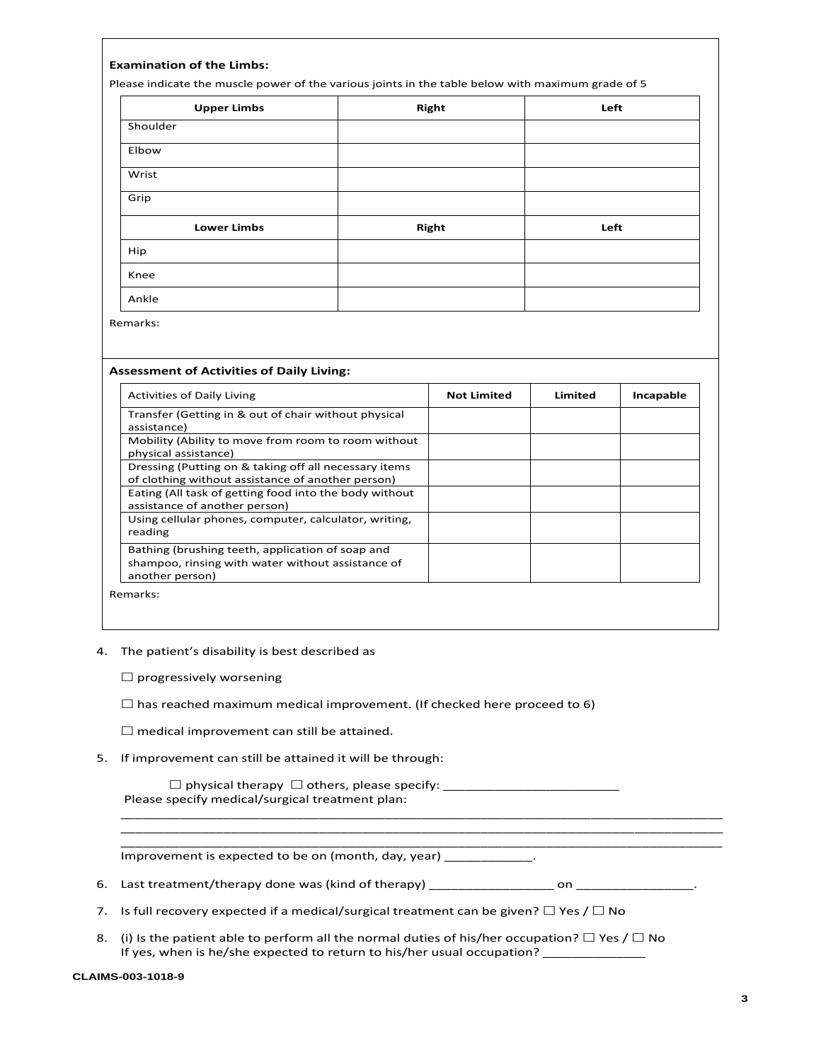### **Examination of the Limbs:**

Please indicate the muscle power of the various joints in the table below with maximum grade of 5

| <b>Upper Limbs</b> | Right | Left |
|--------------------|-------|------|
| Shoulder           |       |      |
| Elbow              |       |      |
| Wrist              |       |      |
| Grip               |       |      |
| <b>Lower Limbs</b> | Right | Left |
| Hip                |       |      |
| Knee               |       |      |
| Ankle              |       |      |

Remarks:

| <b>Activities of Daily Living</b>                                                                                        | <b>Not Limited</b> | Limited | Incapable |
|--------------------------------------------------------------------------------------------------------------------------|--------------------|---------|-----------|
| Transfer (Getting in & out of chair without physical<br>assistance)                                                      |                    |         |           |
| Mobility (Ability to move from room to room without<br>physical assistance)                                              |                    |         |           |
| Dressing (Putting on & taking off all necessary items<br>of clothing without assistance of another person)               |                    |         |           |
| Eating (All task of getting food into the body without<br>assistance of another person)                                  |                    |         |           |
| Using cellular phones, computer, calculator, writing,<br>reading                                                         |                    |         |           |
| Bathing (brushing teeth, application of soap and<br>shampoo, rinsing with water without assistance of<br>another person) |                    |         |           |

4. The patient's disability is best described as

 $\Box$  progressively worsening

 $\Box$  has reached maximum medical improvement. (If checked here proceed to 6)

 $\Box$  medical improvement can still be attained.

5. If improvement can still be attained it will be through:

 physical therapy others, please specify: \_\_\_\_\_\_\_\_\_\_\_\_\_\_\_\_\_\_\_\_\_\_\_\_ Please specify medical/surgical treatment plan: \_\_\_\_\_\_\_\_\_\_\_\_\_\_\_\_\_\_\_\_\_\_\_\_\_\_\_\_\_\_\_\_\_\_\_\_\_\_\_\_\_\_\_\_\_\_\_\_\_\_\_\_\_\_\_\_\_\_\_\_\_\_\_\_\_\_\_\_\_\_\_\_\_\_\_\_\_\_\_\_\_\_

Improvement is expected to be on (month, day, year) \_\_\_\_\_\_\_\_\_\_\_\_\_.

6. Last treatment/therapy done was (kind of therapy) \_\_\_\_\_\_\_\_\_\_\_\_\_\_\_\_\_ on \_\_\_\_\_\_\_\_\_\_\_\_\_\_\_\_.

\_\_\_\_\_\_\_\_\_\_\_\_\_\_\_\_\_\_\_\_\_\_\_\_\_\_\_\_\_\_\_\_\_\_\_\_\_\_\_\_\_\_\_\_\_\_\_\_\_\_\_\_\_\_\_\_\_\_\_\_\_\_\_\_\_\_\_\_\_\_\_\_\_\_\_\_\_\_\_\_\_\_ \_\_\_\_\_\_\_\_\_\_\_\_\_\_\_\_\_\_\_\_\_\_\_\_\_\_\_\_\_\_\_\_\_\_\_\_\_\_\_\_\_\_\_\_\_\_\_\_\_\_\_\_\_\_\_\_\_\_\_\_\_\_\_\_\_\_\_\_\_\_\_\_\_\_\_\_\_\_\_\_\_\_

- 7. Is full recovery expected if a medical/surgical treatment can be given?  $\Box$  Yes /  $\Box$  No
- 8. (i) Is the patient able to perform all the normal duties of his/her occupation?  $\Box$  Yes /  $\Box$  No If yes, when is he/she expected to return to his/her usual occupation? \_\_

#### **CLAIMS-003-1018-9**